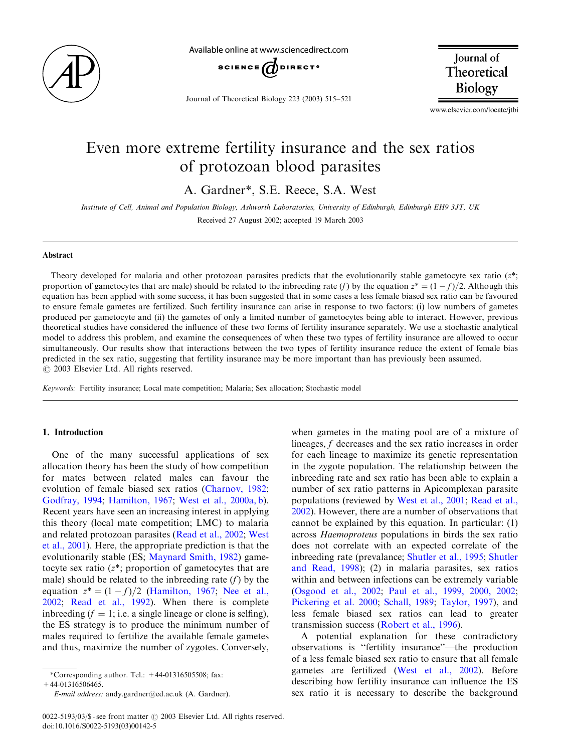

Available online at www.sciencedirect.com



Journal of Theoretical Biology 223 (2003) 515–521

Journal of Theoretical Biology

www.elsevier.com/locate/jtbi

# Even more extreme fertility insurance and the sex ratios of protozoan blood parasites

A. Gardner\*, S.E. Reece, S.A. West

Institute of Cell, Animal and Population Biology, Ashworth Laboratories, University of Edinburgh, Edinburgh EH9 3JT, UK Received 27 August 2002; accepted 19 March 2003

#### Abstract

Theory developed for malaria and other protozoan parasites predicts that the evolutionarily stable gametocyte sex ratio  $(z^*;$ proportion of gametocytes that are male) should be related to the inbreeding rate (f) by the equation  $z^* = (1 - f)/2$ . Although this equation has been applied with some success, it has been suggested that in some cases a less female biased sex ratio can be favoured to ensure female gametes are fertilized. Such fertility insurance can arise in response to two factors: (i) low numbers of gametes produced per gametocyte and (ii) the gametes of only a limited number of gametocytes being able to interact. However, previous theoretical studies have considered the influence of these two forms of fertility insurance separately. We use a stochastic analytical model to address this problem, and examine the consequences of when these two types of fertility insurance are allowed to occur simultaneously. Our results show that interactions between the two types of fertility insurance reduce the extent of female bias predicted in the sex ratio, suggesting that fertility insurance may be more important than has previously been assumed.  $\odot$  2003 Elsevier Ltd. All rights reserved.

Keywords: Fertility insurance; Local mate competition; Malaria; Sex allocation; Stochastic model

## 1. Introduction

One of the many successful applications of sex allocation theory has been the study of how competition for mates between related males can favour the evolution of female biased sex ratios ([Charnov, 1982](#page-6-0); [Godfray, 1994;](#page-6-0) [Hamilton, 1967](#page-6-0); [West et al., 2000a, b\)](#page-6-0). Recent years have seen an increasing interest in applying this theory (local mate competition; LMC) to malaria and related protozoan parasites ([Read et al., 2002](#page-6-0); [West](#page-6-0) [et al., 2001](#page-6-0)). Here, the appropriate prediction is that the evolutionarily stable (ES; [Maynard Smith, 1982](#page-6-0)) gametocyte sex ratio  $(z^*)$ ; proportion of gametocytes that are male) should be related to the inbreeding rate  $(f)$  by the equation  $z^* = (1 - f)/2$  [\(Hamilton, 1967](#page-6-0); [Nee et al.,](#page-6-0) [2002;](#page-6-0) [Read et al., 1992\)](#page-6-0). When there is complete inbreeding  $(f = 1; i.e. a single lineage or clone is selling),$ the ES strategy is to produce the minimum number of males required to fertilize the available female gametes and thus, maximize the number of zygotes. Conversely,

 $+44-01316506465.$ 

when gametes in the mating pool are of a mixture of lineages, f decreases and the sex ratio increases in order for each lineage to maximize its genetic representation in the zygote population. The relationship between the inbreeding rate and sex ratio has been able to explain a number of sex ratio patterns in Apicomplexan parasite populations (reviewed by [West et al., 2001](#page-6-0); [Read et al.,](#page-6-0) [2002\)](#page-6-0). However, there are a number of observations that cannot be explained by this equation. In particular: (1) across Haemoproteus populations in birds the sex ratio does not correlate with an expected correlate of the inbreeding rate (prevalance; [Shutler et al., 1995](#page-6-0); [Shutler](#page-6-0) [and Read, 1998\)](#page-6-0); (2) in malaria parasites, sex ratios within and between infections can be extremely variable [\(Osgood et al., 2002](#page-6-0); [Paul et al., 1999, 2000, 2002](#page-6-0); [Pickering et al. 2000;](#page-6-0) [Schall, 1989](#page-6-0); [Taylor, 1997\)](#page-6-0), and less female biased sex ratios can lead to greater transmission success ([Robert et al., 1996\)](#page-6-0).

A potential explanation for these contradictory observations is ''fertility insurance''—the production of a less female biased sex ratio to ensure that all female gametes are fertilized [\(West et al., 2002\)](#page-6-0). Before describing how fertility insurance can influence the ES sex ratio it is necessary to describe the background

<sup>\*</sup>Corresponding author. Tel.:  $+44-01316505508$ ; fax:

E-mail address: andy.gardner@ed.ac.uk (A. Gardner).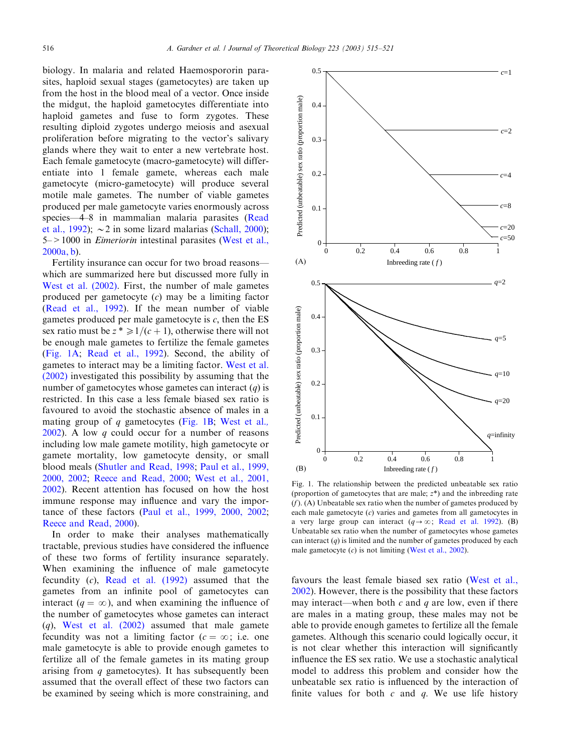<span id="page-1-0"></span>biology. In malaria and related Haemospororin parasites, haploid sexual stages (gametocytes) are taken up from the host in the blood meal of a vector. Once inside the midgut, the haploid gametocytes differentiate into haploid gametes and fuse to form zygotes. These resulting diploid zygotes undergo meiosis and asexual proliferation before migrating to the vector's salivary glands where they wait to enter a new vertebrate host. Each female gametocyte (macro-gametocyte) will differentiate into 1 female gamete, whereas each male gametocyte (micro-gametocyte) will produce several motile male gametes. The number of viable gametes produced per male gametocyte varies enormously across species—4–8 in mammalian malaria parasites [\(Read](#page-6-0) [et al., 1992](#page-6-0));  $\sim$  2 in some lizard malarias [\(Schall, 2000\)](#page-6-0); 5–>1000 in Eimeriorin intestinal parasites ([West et al.,](#page-6-0) [2000a, b\)](#page-6-0).

Fertility insurance can occur for two broad reasons which are summarized here but discussed more fully in [West et al. \(2002\).](#page-6-0) First, the number of male gametes produced per gametocyte  $(c)$  may be a limiting factor [\(Read et al., 1992](#page-6-0)). If the mean number of viable gametes produced per male gametocyte is  $c$ , then the ES sex ratio must be  $z^* \geq 1/(c + 1)$ , otherwise there will not be enough male gametes to fertilize the female gametes (Fig. 1A; [Read et al., 1992\)](#page-6-0). Second, the ability of gametes to interact may be a limiting factor. [West et al.](#page-6-0) [\(2002\)](#page-6-0) investigated this possibility by assuming that the number of gametocytes whose gametes can interact  $(q)$  is restricted. In this case a less female biased sex ratio is favoured to avoid the stochastic absence of males in a mating group of  $q$  gametocytes (Fig. 1B; [West et al.](#page-6-0),  $2002$ ). A low q could occur for a number of reasons including low male gamete motility, high gametocyte or gamete mortality, low gametocyte density, or small blood meals ([Shutler and Read, 1998](#page-6-0); [Paul et al., 1999,](#page-6-0) [2000, 2002;](#page-6-0) [Reece and Read, 2000;](#page-6-0) [West et al., 2001,](#page-6-0) [2002\)](#page-6-0). Recent attention has focused on how the host immune response may influence and vary the importance of these factors ([Paul et al., 1999, 2000, 2002](#page-6-0); [Reece and Read, 2000](#page-6-0)).

In order to make their analyses mathematically tractable, previous studies have considered the influence of these two forms of fertility insurance separately. When examining the influence of male gametocyte fecundity (c), [Read et al. \(1992\)](#page-6-0) assumed that the gametes from an infinite pool of gametocytes can interact  $(q = \infty)$ , and when examining the influence of the number of gametocytes whose gametes can interact  $(q)$ , West et al.  $(2002)$  assumed that male gamete fecundity was not a limiting factor  $(c = \infty; i.e.$  one male gametocyte is able to provide enough gametes to fertilize all of the female gametes in its mating group arising from  $q$  gametocytes). It has subsequently been assumed that the overall effect of these two factors can be examined by seeing which is more constraining, and



Fig. 1. The relationship between the predicted unbeatable sex ratio (proportion of gametocytes that are male;  $z^*$ ) and the inbreeding rate  $(f)$ . (A) Unbeatable sex ratio when the number of gametes produced by each male gametocyte  $(c)$  varies and gametes from all gametocytes in a very large group can interact ( $q \rightarrow \infty$ ; [Read et al. 1992](#page-6-0)). (B) Unbeatable sex ratio when the number of gametocytes whose gametes can interact  $(q)$  is limited and the number of gametes produced by each male gametocyte  $(c)$  is not limiting ([West et al., 2002](#page-6-0)).

favours the least female biased sex ratio ([West et al.,](#page-6-0) [2002\)](#page-6-0). However, there is the possibility that these factors may interact—when both  $c$  and  $q$  are low, even if there are males in a mating group, these males may not be able to provide enough gametes to fertilize all the female gametes. Although this scenario could logically occur, it is not clear whether this interaction will significantly influence the ES sex ratio. We use a stochastic analytical model to address this problem and consider how the unbeatable sex ratio is influenced by the interaction of finite values for both  $c$  and  $q$ . We use life history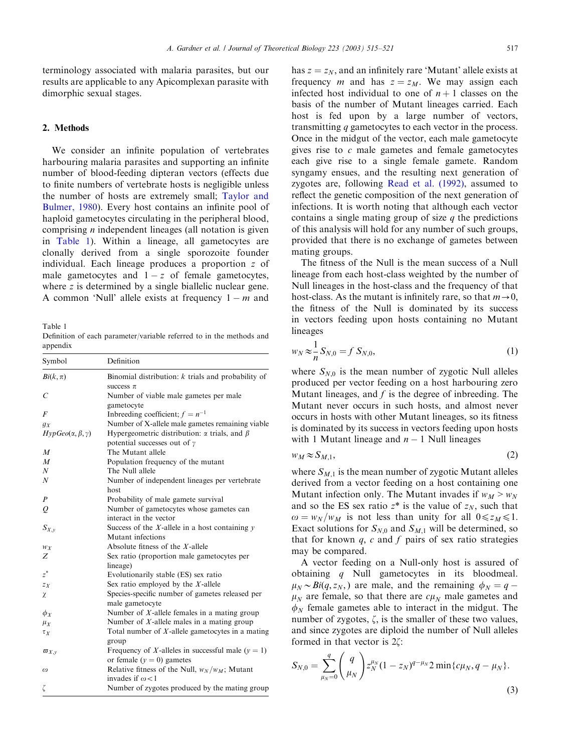terminology associated with malaria parasites, but our results are applicable to any Apicomplexan parasite with dimorphic sexual stages.

# 2. Methods

We consider an infinite population of vertebrates harbouring malaria parasites and supporting an infinite number of blood-feeding dipteran vectors (effects due to finite numbers of vertebrate hosts is negligible unless the number of hosts are extremely small; [Taylor and](#page-6-0) [Bulmer, 1980\)](#page-6-0). Every host contains an infinite pool of haploid gametocytes circulating in the peripheral blood, comprising  $n$  independent lineages (all notation is given in Table 1). Within a lineage, all gametocytes are clonally derived from a single sporozoite founder individual. Each lineage produces a proportion z of male gametocytes and  $1 - z$  of female gametocytes, where z is determined by a single biallelic nuclear gene. A common 'Null' allele exists at frequency  $1 - m$  and

Table 1 Definition of each parameter/variable referred to in the methods and appendix

| Symbol                          | Definition                                                |
|---------------------------------|-----------------------------------------------------------|
| $Bi(k, \pi)$                    | Binomial distribution: $k$ trials and probability of      |
|                                 | success $\pi$                                             |
| C                               | Number of viable male gametes per male                    |
|                                 | gametocyte                                                |
| $\overline{F}$                  | Indeeding coefficient; $f = n^{-1}$                       |
| $g_X$                           | Number of X-allele male gametes remaining viable          |
| $HypGeo(\alpha, \beta, \gamma)$ | Hypergeometric distribution: $\alpha$ trials, and $\beta$ |
|                                 | potential successes out of $\gamma$                       |
| $\boldsymbol{M}$                | The Mutant allele                                         |
| $\overline{M}$                  | Population frequency of the mutant                        |
| $\boldsymbol{N}$                | The Null allele                                           |
| $\boldsymbol{N}$                | Number of independent lineages per vertebrate             |
|                                 | host                                                      |
| $\boldsymbol{P}$                | Probability of male gamete survival                       |
| Q                               | Number of gametocytes whose gametes can                   |
|                                 | interact in the vector                                    |
| $S_{X,\nu}$                     | Success of the $X$ -allele in a host containing $y$       |
|                                 | Mutant infections                                         |
| $W_X$                           | Absolute fitness of the $X$ -allele                       |
| Z                               | Sex ratio (proportion male gametocytes per                |
|                                 | lineage)                                                  |
| $z^*$                           | Evolutionarily stable (ES) sex ratio                      |
| $Z_{X}$                         | Sex ratio employed by the $X$ -allele                     |
| χ                               | Species-specific number of gametes released per           |
|                                 | male gametocyte                                           |
| $\phi_{X}$                      | Number of $X$ -allele females in a mating group           |
| $\mu_X$                         | Number of $X$ -allele males in a mating group             |
| $\tau_X$                        | Total number of $X$ -allele gametocytes in a mating       |
|                                 | group                                                     |
| $\varpi_{X,\nu}$                | Frequency of X-alleles in successful male $(y = 1)$       |
|                                 | or female $(y = 0)$ gametes                               |
| $\omega$                        | Relative fitness of the Null, $w_N/w_M$ ; Mutant          |
|                                 | invades if $\omega$ < 1                                   |
| ζ                               | Number of zygotes produced by the mating group            |

has  $z = z_N$ , and an infinitely rare 'Mutant' allele exists at frequency *m* and has  $z = z_M$ . We may assign each infected host individual to one of  $n + 1$  classes on the basis of the number of Mutant lineages carried. Each host is fed upon by a large number of vectors, transmitting q gametocytes to each vector in the process. Once in the midgut of the vector, each male gametocyte gives rise to  $c$  male gametes and female gametocytes each give rise to a single female gamete. Random syngamy ensues, and the resulting next generation of zygotes are, following [Read et al. \(1992\),](#page-6-0) assumed to reflect the genetic composition of the next generation of infections. It is worth noting that although each vector contains a single mating group of size  $q$  the predictions of this analysis will hold for any number of such groups, provided that there is no exchange of gametes between mating groups.

The fitness of the Null is the mean success of a Null lineage from each host-class weighted by the number of Null lineages in the host-class and the frequency of that host-class. As the mutant is infinitely rare, so that  $m \rightarrow 0$ , the fitness of the Null is dominated by its success in vectors feeding upon hosts containing no Mutant lineages

$$
w_N \approx \frac{1}{n} S_{N,0} = f S_{N,0},
$$
\n(1)

where  $S_{N,0}$  is the mean number of zygotic Null alleles produced per vector feeding on a host harbouring zero Mutant lineages, and  $f$  is the degree of inbreeding. The Mutant never occurs in such hosts, and almost never occurs in hosts with other Mutant lineages, so its fitness is dominated by its success in vectors feeding upon hosts with 1 Mutant lineage and  $n - 1$  Null lineages

$$
w_M \approx S_{M,1},\tag{2}
$$

where  $S_{M,1}$  is the mean number of zygotic Mutant alleles derived from a vector feeding on a host containing one Mutant infection only. The Mutant invades if  $w_M > w_N$ and so the ES sex ratio  $z^*$  is the value of  $z_N$ , such that  $\omega = w_N/w_M$  is not less than unity for all  $0 \le z_M \le 1$ . Exact solutions for  $S_{N,0}$  and  $S_{M,1}$  will be determined, so that for known  $q$ ,  $c$  and  $f$  pairs of sex ratio strategies may be compared.

A vector feeding on a Null-only host is assured of obtaining q Null gametocytes in its bloodmeal.  $\mu_N \sim Bi(q, z_N)$  are male, and the remaining  $\phi_N = q \mu_N$  are female, so that there are  $c\mu_N$  male gametes and  $\phi_N$  female gametes able to interact in the midgut. The number of zygotes,  $\zeta$ , is the smaller of these two values, and since zygotes are diploid the number of Null alleles formed in that vector is  $2\zeta$ :

$$
S_{N,0} = \sum_{\mu_N=0}^{q} \binom{q}{\mu_N} z_N^{\mu_N} (1 - z_N)^{q - \mu_N} 2 \min\{c\mu_N, q - \mu_N\}.
$$
\n(3)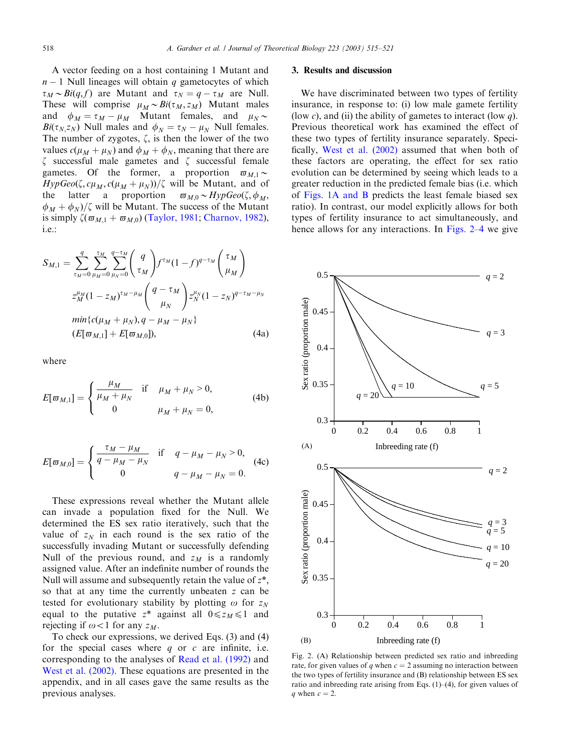<span id="page-3-0"></span>A vector feeding on a host containing 1 Mutant and  $n - 1$  Null lineages will obtain q gametocytes of which  $\tau_M \sim Bi(q, f)$  are Mutant and  $\tau_N = q - \tau_M$  are Null. These will comprise  $\mu_M \sim Bi(\tau_M, z_M)$  Mutant males and  $\phi_M = \tau_M - \mu_M$  Mutant females, and  $\mu_N \sim$  $Bi(\tau_{N,ZN})$  Null males and  $\phi_N = \tau_N - \mu_N$  Null females. The number of zygotes,  $\zeta$ , is then the lower of the two values  $c(\mu_M + \mu_N)$  and  $\phi_M + \phi_N$ , meaning that there are  $\zeta$  successful male gametes and  $\zeta$  successful female gametes. Of the former, a proportion  $\varpi_{M1} \sim$  $HypGeo(\zeta, c\mu_M, c(\mu_M + \mu_N))/\zeta$  will be Mutant, and of the latter a proportion  $\varpi_{M,0} \sim HypGeo(\zeta,\phi_M,$  $\phi_M + \phi_N$ / $\zeta$  will be Mutant. The success of the Mutant is simply  $\zeta(\varpi_{M,1} + \varpi_{M,0})$  ([Taylor, 1981;](#page-6-0) [Charnov, 1982\)](#page-6-0), i.e.:

$$
S_{M,1} = \sum_{\tau_M=0}^{q} \sum_{\mu_M=0}^{\tau_M} \sum_{\mu_N=0}^{q-\tau_M} \binom{q}{\tau_M} f^{\tau_M} (1-f)^{q-\tau_M} \binom{\tau_M}{\mu_M}
$$
  

$$
z_M^{\mu_M} (1-z_M)^{\tau_M-\mu_M} \binom{q-\tau_M}{\mu_N} z_N^{\mu_N} (1-z_N)^{q-\tau_M-\mu_N}
$$
  

$$
\min\{c(\mu_M + \mu_N), q-\mu_M - \mu_N\}
$$
  

$$
(E[\varpi_{M,1}] + E[\varpi_{M,0}]), \qquad (4a)
$$

where

$$
E[\varpi_{M,1}] = \begin{cases} \frac{\mu_M}{\mu_M + \mu_N} & \text{if } \mu_M + \mu_N > 0, \\ 0 & \mu_M + \mu_N = 0, \end{cases}
$$
 (4b)

$$
E[\varpi_{M,0}] = \begin{cases} \frac{\tau_M - \mu_M}{q - \mu_M - \mu_N} & \text{if } q - \mu_M - \mu_N > 0, \\ 0 & q - \mu_M - \mu_N = 0. \end{cases}
$$
(4c)

These expressions reveal whether the Mutant allele can invade a population fixed for the Null. We determined the ES sex ratio iteratively, such that the value of  $z_N$  in each round is the sex ratio of the successfully invading Mutant or successfully defending Null of the previous round, and  $z_M$  is a randomly assigned value. After an indefinite number of rounds the Null will assume and subsequently retain the value of  $z^*$ , so that at any time the currently unbeaten z can be tested for evolutionary stability by plotting  $\omega$  for  $z_N$ equal to the putative  $z^*$  against all  $0 \le z_M \le 1$  and rejecting if  $\omega < 1$  for any  $z_M$ .

To check our expressions, we derived Eqs. (3) and (4) for the special cases where  $q$  or  $c$  are infinite, i.e. corresponding to the analyses of [Read et al. \(1992\)](#page-6-0) and [West et al. \(2002\).](#page-6-0) These equations are presented in the appendix, and in all cases gave the same results as the previous analyses.

#### 3. Results and discussion

We have discriminated between two types of fertility insurance, in response to: (i) low male gamete fertility (low c), and (ii) the ability of gametes to interact (low  $q$ ). Previous theoretical work has examined the effect of these two types of fertility insurance separately. Specifically, [West et al. \(2002\)](#page-6-0) assumed that when both of these factors are operating, the effect for sex ratio evolution can be determined by seeing which leads to a greater reduction in the predicted female bias (i.e. which of [Figs. 1A and B](#page-1-0) predicts the least female biased sex ratio). In contrast, our model explicitly allows for both types of fertility insurance to act simultaneously, and hence allows for any interactions. In Figs. 2–4 we give



Fig. 2.  $(A)$  Relationship between predicted sex ratio and inbreeding rate, for given values of q when  $c = 2$  assuming no interaction between the two types of fertility insurance and (B) relationship between ES sex ratio and inbreeding rate arising from Eqs.  $(1)$ – $(4)$ , for given values of q when  $c = 2$ .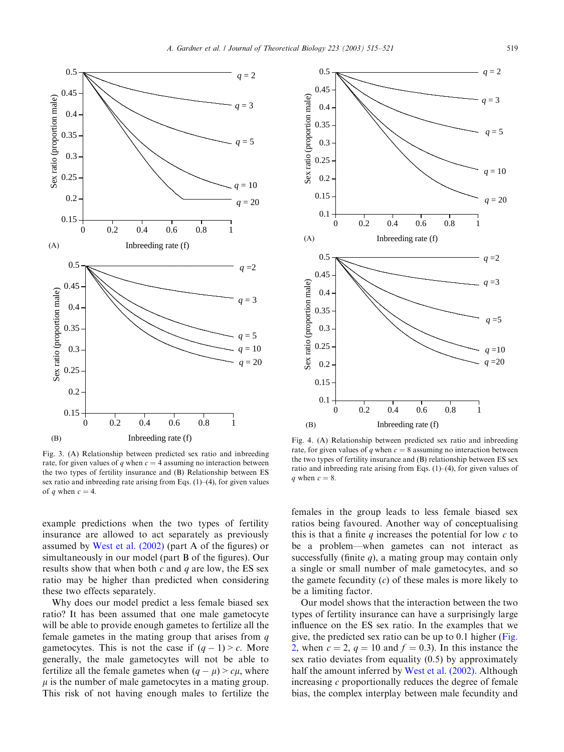

Fig. 3. (A) Relationship between predicted sex ratio and inbreeding rate, for given values of q when  $c = 4$  assuming no interaction between the two types of fertility insurance and (B) Relationship between ES sex ratio and inbreeding rate arising from Eqs.  $(1)$ – $(4)$ , for given values of q when  $c = 4$ .

example predictions when the two types of fertility insurance are allowed to act separately as previously assumed by [West et al. \(2002\)](#page-6-0) (part A of the figures) or simultaneously in our model (part B of the figures). Our results show that when both c and q are low, the ES sex ratio may be higher than predicted when considering these two effects separately.

Why does our model predict a less female biased sex ratio? It has been assumed that one male gametocyte will be able to provide enough gametes to fertilize all the female gametes in the mating group that arises from  $q$ gametocytes. This is not the case if  $(q - 1) > c$ . More generally, the male gametocytes will not be able to fertilize all the female gametes when  $(q - \mu) > c\mu$ , where  $\mu$  is the number of male gametocytes in a mating group. This risk of not having enough males to fertilize the



Fig. 4. (A) Relationship between predicted sex ratio and inbreeding rate, for given values of q when  $c = 8$  assuming no interaction between the two types of fertility insurance and (B) relationship between ES sex ratio and inbreeding rate arising from Eqs. (1)–(4), for given values of a when  $c = 8$ .

females in the group leads to less female biased sex ratios being favoured. Another way of conceptualising this is that a finite q increases the potential for low  $c$  to be a problem—when gametes can not interact as successfully (finite  $q$ ), a mating group may contain only a single or small number of male gametocytes, and so the gamete fecundity  $(c)$  of these males is more likely to be a limiting factor.

Our model shows that the interaction between the two types of fertility insurance can have a surprisingly large influence on the ES sex ratio. In the examples that we give, the predicted sex ratio can be up to 0.1 higher ([Fig.](#page-3-0) [2,](#page-3-0) when  $c = 2$ ,  $q = 10$  and  $f = 0.3$ ). In this instance the sex ratio deviates from equality (0.5) by approximately half the amount inferred by [West et al. \(2002\).](#page-6-0) Although increasing  $c$  proportionally reduces the degree of female bias, the complex interplay between male fecundity and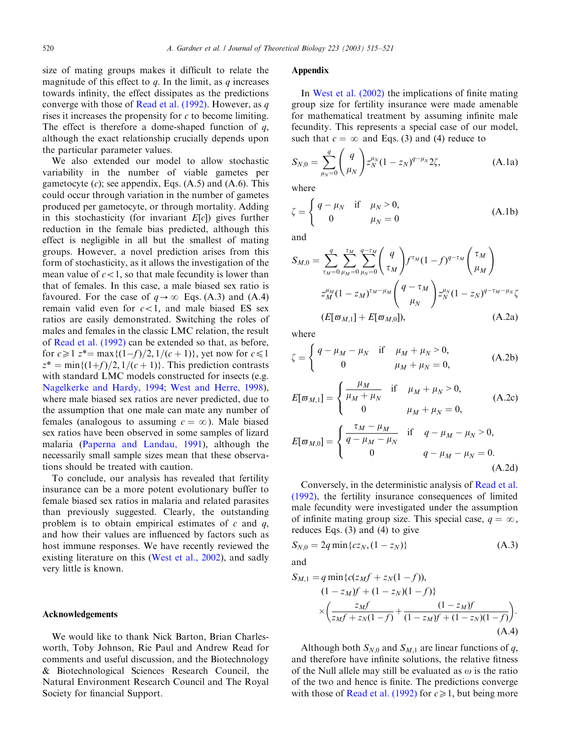size of mating groups makes it difficult to relate the magnitude of this effect to  $q$ . In the limit, as  $q$  increases towards infinity, the effect dissipates as the predictions converge with those of [Read et al. \(1992\)](#page-6-0). However, as  $q$ rises it increases the propensity for  $c$  to become limiting. The effect is therefore a dome-shaped function of  $q$ , although the exact relationship crucially depends upon the particular parameter values.

We also extended our model to allow stochastic variability in the number of viable gametes per gametocyte  $(c)$ ; see appendix, Eqs.  $(A.5)$  and  $(A.6)$ . This could occur through variation in the number of gametes produced per gametocyte, or through mortality. Adding in this stochasticity (for invariant  $E[c]$ ) gives further reduction in the female bias predicted, although this effect is negligible in all but the smallest of mating groups. However, a novel prediction arises from this form of stochasticity, as it allows the investigation of the mean value of  $c < 1$ , so that male fecundity is lower than that of females. In this case, a male biased sex ratio is favoured. For the case of  $q \rightarrow \infty$  Eqs. (A.3) and (A.4) remain valid even for  $c < 1$ , and male biased ES sex ratios are easily demonstrated. Switching the roles of males and females in the classic LMC relation, the result of [Read et al. \(1992\)](#page-6-0) can be extended so that, as before, for  $c \geq 1$   $z^* = \max\{(1-f)/2, 1/(c + 1)\}\text{, yet now for } c \leq 1$  $z^* = \min\{(1+f)/2, 1/(c+1)\}\$ . This prediction contrasts with standard LMC models constructed for insects (e.g. [Nagelkerke and Hardy, 1994](#page-6-0); [West and Herre, 1998\)](#page-6-0), where male biased sex ratios are never predicted, due to the assumption that one male can mate any number of females (analogous to assuming  $c = \infty$ ). Male biased sex ratios have been observed in some samples of lizard malaria [\(Paperna and Landau, 1991\)](#page-6-0), although the necessarily small sample sizes mean that these observations should be treated with caution.

To conclude, our analysis has revealed that fertility insurance can be a more potent evolutionary buffer to female biased sex ratios in malaria and related parasites than previously suggested. Clearly, the outstanding problem is to obtain empirical estimates of  $c$  and  $q$ , and how their values are influenced by factors such as host immune responses. We have recently reviewed the existing literature on this [\(West et al., 2002\)](#page-6-0), and sadly very little is known.

## Acknowledgements

We would like to thank Nick Barton, Brian Charlesworth, Toby Johnson, Rie Paul and Andrew Read for comments and useful discussion, and the Biotechnology & Biotechnological Sciences Research Council, the Natural Environment Research Council and The Royal Society for financial Support.

## Appendix

In [West et al. \(2002\)](#page-6-0) the implications of finite mating groupsize for fertility insurance were made amenable for mathematical treatment by assuming infinite male fecundity. This represents a special case of our model, such that  $c = \infty$  and Eqs. (3) and (4) reduce to

$$
S_{N,0} = \sum_{\mu_N=0}^{q} \binom{q}{\mu_N} z_N^{\mu_N} (1 - z_N)^{q - \mu_N} 2\zeta,
$$
 (A.1a)

where

$$
\zeta = \begin{cases} q - \mu_N & \text{if } \mu_N > 0, \\ 0 & \mu_N = 0 \end{cases}
$$
 (A.1b)

and

$$
S_{M,0} = \sum_{\tau_M=0}^{q} \sum_{\mu_M=0}^{\tau_M} \sum_{\mu_N=0}^{q-\tau_M} \binom{q}{\tau_M} f^{\tau_M} (1-f)^{q-\tau_M} \binom{\tau_M}{\mu_M}
$$
  

$$
z_M^{\mu_M} (1-z_M)^{\tau_M-\mu_M} \binom{q-\tau_M}{\mu_N} z_N^{\mu_N} (1-z_N)^{q-\tau_M-\mu_N} \zeta
$$
  

$$
(E[\varpi_{M,1}] + E[\varpi_{M,0}]), \qquad (A.2a)
$$

where

$$
\zeta = \begin{cases} q - \mu_M - \mu_N & \text{if } \mu_M + \mu_N > 0, \\ 0 & \mu_M + \mu_N = 0, \end{cases}
$$
 (A.2b)

$$
E[\varpi_{M,1}] = \begin{cases} \frac{\mu_M}{\mu_M + \mu_N} & \text{if } \mu_M + \mu_N > 0, \\ 0 & \mu_M + \mu_N = 0, \end{cases}
$$
(A.2c)  

$$
E[\varpi_{M,0}] = \begin{cases} \frac{\tau_M - \mu_M}{q - \mu_M - \mu_N} & \text{if } q - \mu_M - \mu_N > 0, \\ 0 & q - \mu_M - \mu_N = 0. \end{cases}
$$
(A.2d)

Conversely, in the deterministic analysis of [Read et al.](#page-6-0) [\(1992\)](#page-6-0), the fertility insurance consequences of limited male fecundity were investigated under the assumption of infinite mating group size. This special case,  $q = \infty$ , reduces Eqs. (3) and (4) to give

$$
S_{N,0} = 2q \min\{cz_N, (1 - z_N)\}\tag{A.3}
$$

and

$$
S_{M,1} = q \min \{c(z_M f + z_N(1 - f)),(1 - z_M)f + (1 - z_N)(1 - f)\}\times \left(\frac{z_M f}{z_M f + z_N(1 - f)} + \frac{(1 - z_M)f}{(1 - z_M)f + (1 - z_N)(1 - f)}\right).
$$
(A.4)

Although both  $S_{N,0}$  and  $S_{M,1}$  are linear functions of q, and therefore have infinite solutions, the relative fitness of the Null allele may still be evaluated as  $\omega$  is the ratio of the two and hence is finite. The predictions converge with those of [Read et al. \(1992\)](#page-6-0) for  $c \ge 1$ , but being more